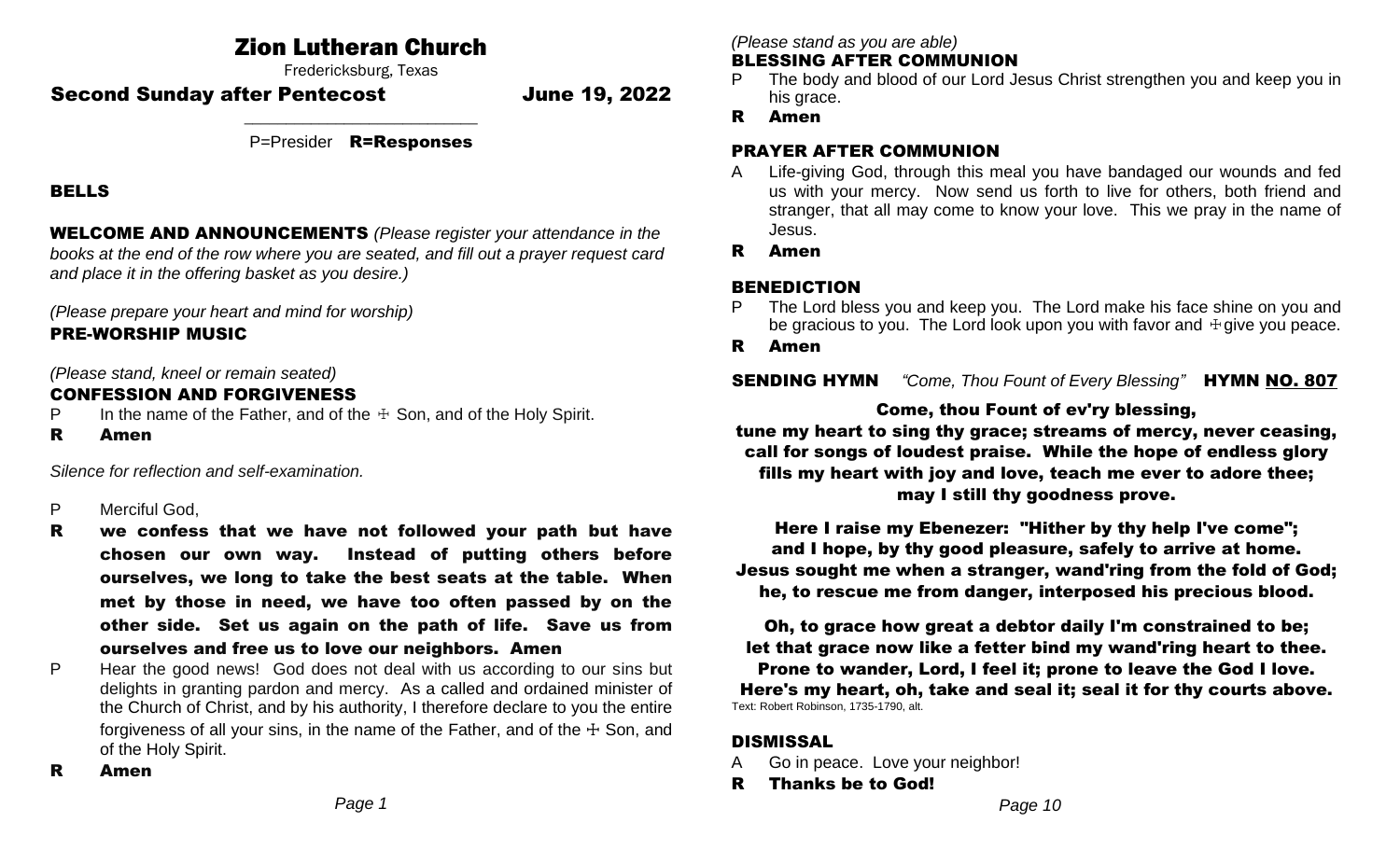## Zion Lutheran Church

Fredericksburg, Texas

Second Sunday after Pentecost June 19, 2022

\_\_\_\_\_\_\_\_\_\_\_\_\_\_\_\_\_\_\_\_\_\_\_\_\_\_\_\_ P=Presider R=Responses

#### BELLS

WELCOME AND ANNOUNCEMENTS *(Please register your attendance in the books at the end of the row where you are seated, and fill out a prayer request card and place it in the offering basket as you desire.)* 

*(Please prepare your heart and mind for worship)* PRE-WORSHIP MUSIC

#### *(Please stand, kneel or remain seated)*

#### CONFESSION AND FORGIVENESS

- P In the name of the Father, and of the  $\pm$  Son, and of the Holy Spirit.
- R Amen

*Silence for reflection and self-examination.*

- P Merciful God,
- R we confess that we have not followed your path but have chosen our own way. Instead of putting others before ourselves, we long to take the best seats at the table. When met by those in need, we have too often passed by on the other side. Set us again on the path of life. Save us from ourselves and free us to love our neighbors. Amen
- P Hear the good news! God does not deal with us according to our sins but delights in granting pardon and mercy. As a called and ordained minister of the Church of Christ, and by his authority, I therefore declare to you the entire forgiveness of all your sins, in the name of the Father, and of the  $+$  Son, and of the Holy Spirit.

*(Please stand as you are able)*

#### BLESSING AFTER COMMUNION

- The body and blood of our Lord Jesus Christ strengthen you and keep you in his grace.
- R Amen

#### PRAYER AFTER COMMUNION

- A Life-giving God, through this meal you have bandaged our wounds and fed us with your mercy. Now send us forth to live for others, both friend and stranger, that all may come to know your love. This we pray in the name of Jesus.
- R Amen

## BENEDICTION

- The Lord bless you and keep you. The Lord make his face shine on you and be gracious to you. The Lord look upon you with favor and  $\dagger$  give you peace.
- R Amen

SENDING HYMN *"Come, Thou Fount of Every Blessing"* HYMN NO. 807

## Come, thou Fount of ev'ry blessing,

tune my heart to sing thy grace; streams of mercy, never ceasing, call for songs of loudest praise. While the hope of endless glory fills my heart with joy and love, teach me ever to adore thee; may I still thy goodness prove.

Here I raise my Ebenezer: "Hither by thy help I've come"; and I hope, by thy good pleasure, safely to arrive at home. Jesus sought me when a stranger, wand'ring from the fold of God; he, to rescue me from danger, interposed his precious blood.

Oh, to grace how great a debtor daily I'm constrained to be; let that grace now like a fetter bind my wand'ring heart to thee. Prone to wander, Lord, I feel it; prone to leave the God I love. Here's my heart, oh, take and seal it; seal it for thy courts above. Text: Robert Robinson, 1735-1790, alt.

## DISMISSAL

- A Go in peace. Love your neighbor!
- R Thanks be to God!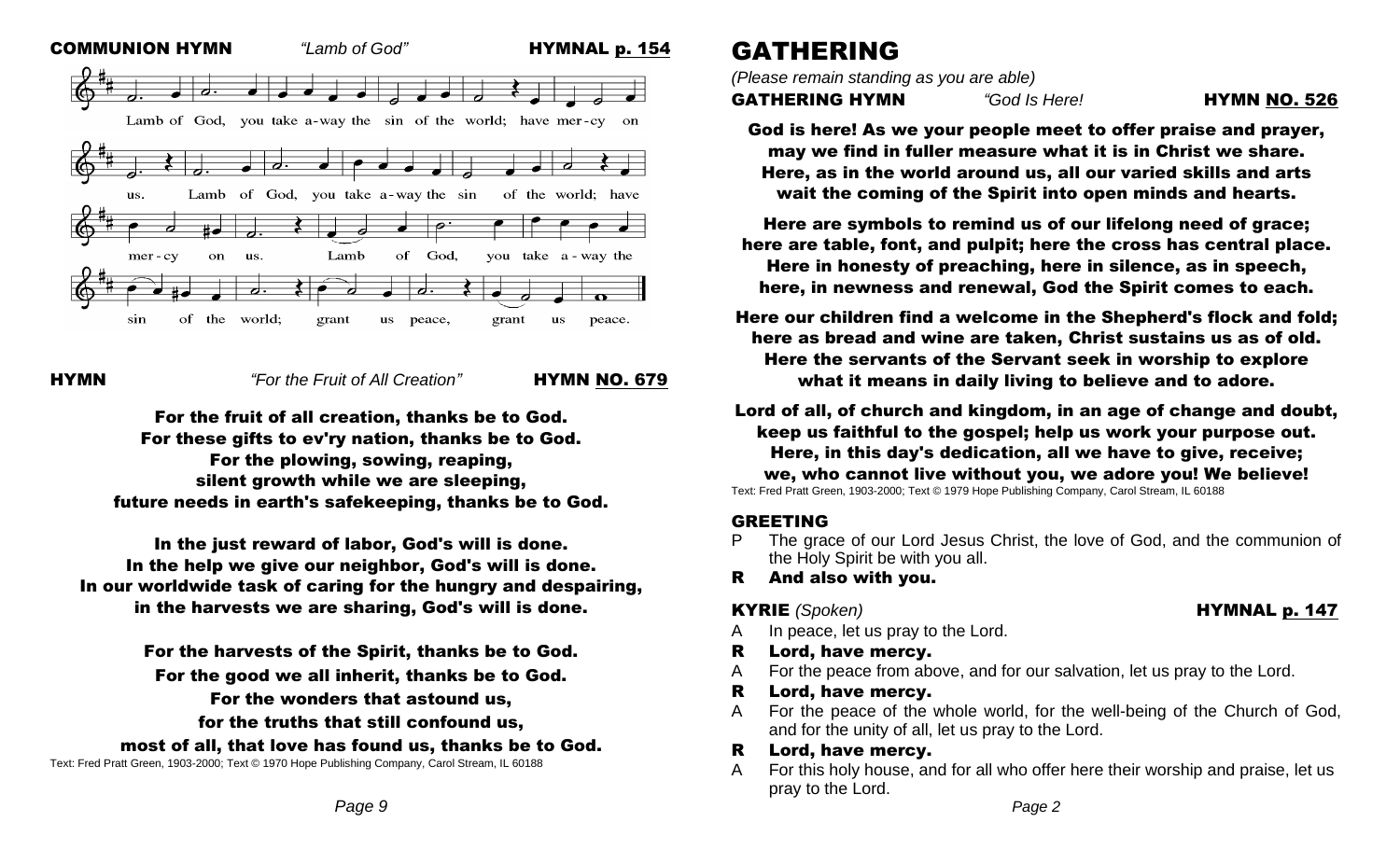

**HYMN** *"For the Fruit of All Creation"* **<b>HYMN NO. 679** 

For the fruit of all creation, thanks be to God. For these gifts to ev'ry nation, thanks be to God. For the plowing, sowing, reaping, silent growth while we are sleeping, future needs in earth's safekeeping, thanks be to God.

In the just reward of labor, God's will is done. In the help we give our neighbor, God's will is done. In our worldwide task of caring for the hungry and despairing, in the harvests we are sharing, God's will is done.

For the harvests of the Spirit, thanks be to God. For the good we all inherit, thanks be to God. For the wonders that astound us, for the truths that still confound us, most of all, that love has found us, thanks be to God.

Text: Fred Pratt Green, 1903-2000; Text © 1970 Hope Publishing Company, Carol Stream, IL 60188

# GATHERING

*(Please remain standing as you are able)*

GATHERING HYMN *"God Is Here!* HYMN NO. 526

God is here! As we your people meet to offer praise and prayer, may we find in fuller measure what it is in Christ we share. Here, as in the world around us, all our varied skills and arts wait the coming of the Spirit into open minds and hearts.

Here are symbols to remind us of our lifelong need of grace; here are table, font, and pulpit; here the cross has central place. Here in honesty of preaching, here in silence, as in speech, here, in newness and renewal, God the Spirit comes to each.

Here our children find a welcome in the Shepherd's flock and fold; here as bread and wine are taken, Christ sustains us as of old. Here the servants of the Servant seek in worship to explore what it means in daily living to believe and to adore.

Lord of all, of church and kingdom, in an age of change and doubt, keep us faithful to the gospel; help us work your purpose out. Here, in this day's dedication, all we have to give, receive; we, who cannot live without you, we adore you! We believe! Text: Fred Pratt Green, 1903-2000; Text © 1979 Hope Publishing Company, Carol Stream, IL 60188

#### GREETING

- P The grace of our Lord Jesus Christ, the love of God, and the communion of the Holy Spirit be with you all.
- R And also with you.

#### KYRIE *(Spoken)* HYMNAL p. 147

A In peace, let us pray to the Lord.

#### R Lord, have mercy.

- A For the peace from above, and for our salvation, let us pray to the Lord.
- R Lord, have mercy.
- A For the peace of the whole world, for the well-being of the Church of God, and for the unity of all, let us pray to the Lord.

## R Lord, have mercy.

A For this holy house, and for all who offer here their worship and praise, let us pray to the Lord.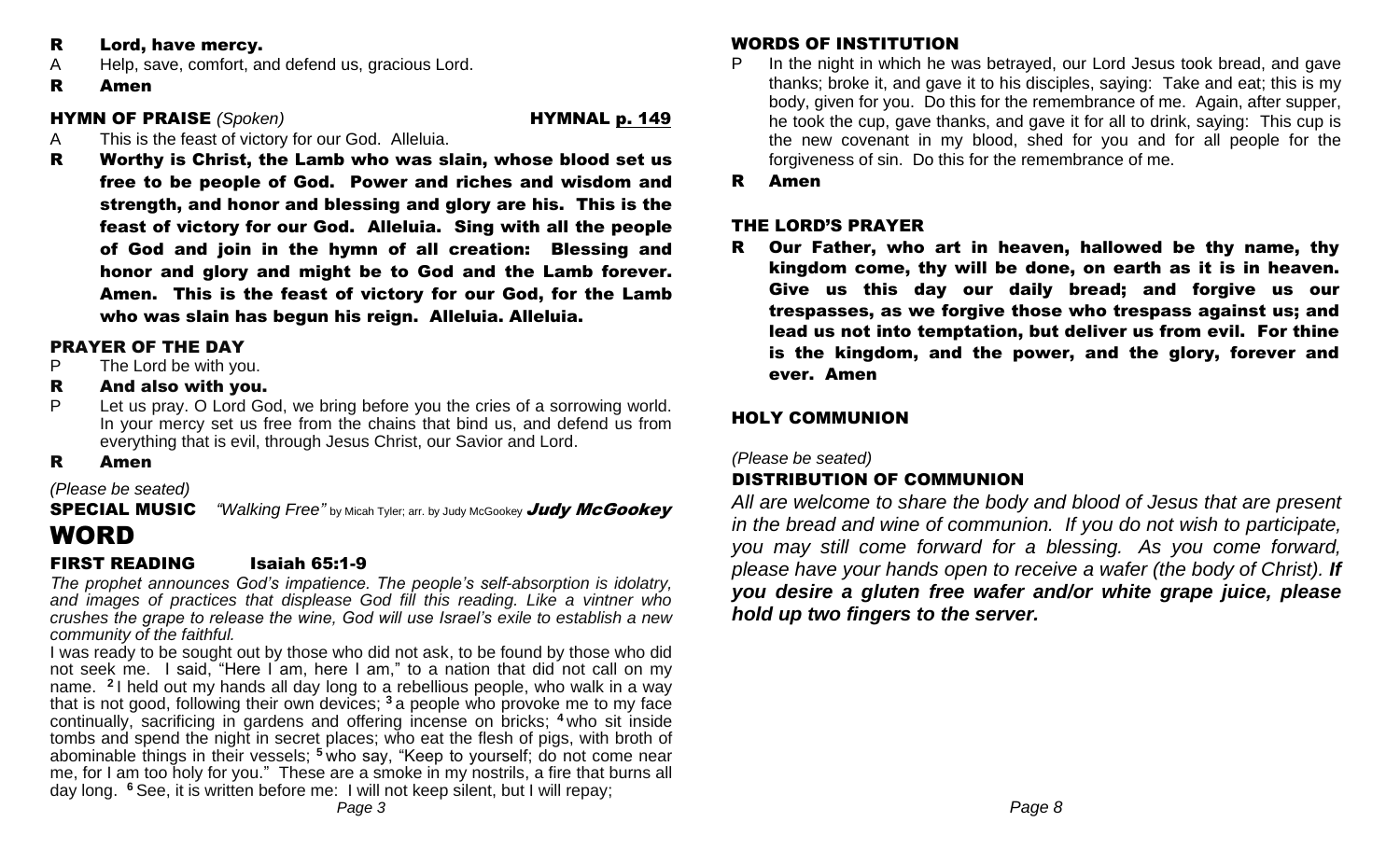- R Lord, have mercy.
- A Help, save, comfort, and defend us, gracious Lord.
- R Amen

#### HYMN OF PRAISE *(Spoken)* HYMNAL p. 149

- A This is the feast of victory for our God. Alleluia.
- R Worthy is Christ, the Lamb who was slain, whose blood set us free to be people of God. Power and riches and wisdom and strength, and honor and blessing and glory are his. This is the feast of victory for our God. Alleluia. Sing with all the people of God and join in the hymn of all creation: Blessing and honor and glory and might be to God and the Lamb forever. Amen. This is the feast of victory for our God, for the Lamb who was slain has begun his reign. Alleluia. Alleluia.

#### PRAYER OF THE DAY

- P The Lord be with you.
- R And also with you.
- P Let us pray. O Lord God, we bring before you the cries of a sorrowing world. In your mercy set us free from the chains that bind us, and defend us from everything that is evil, through Jesus Christ, our Savior and Lord.
- R Amen

*(Please be seated)*

**SPECIAL MUSIC** *"Walking Free"* by Micah Tyler; arr. by Judy McGookey **Judy McGookey** 

# WORD

## FIRST READING Isaiah 65:1-9

*The prophet announces God's impatience. The people's self-absorption is idolatry, and images of practices that displease God fill this reading. Like a vintner who crushes the grape to release the wine, God will use Israel's exile to establish a new community of the faithful.*

I was ready to be sought out by those who did not ask, to be found by those who did not seek me. I said, "Here I am, here I am," to a nation that did not call on my name. **2** I held out my hands all day long to a rebellious people, who walk in a way that is not good, following their own devices; **<sup>3</sup>** a people who provoke me to my face continually, sacrificing in gardens and offering incense on bricks; **<sup>4</sup>** who sit inside tombs and spend the night in secret places; who eat the flesh of pigs, with broth of abominable things in their vessels; **<sup>5</sup>** who say, "Keep to yourself; do not come near me, for I am too holy for you." These are a smoke in my nostrils, a fire that burns all day long. **<sup>6</sup>** See, it is written before me: I will not keep silent, but I will repay;

- P In the night in which he was betrayed, our Lord Jesus took bread, and gave thanks; broke it, and gave it to his disciples, saying: Take and eat; this is my body, given for you. Do this for the remembrance of me. Again, after supper, he took the cup, gave thanks, and gave it for all to drink, saying: This cup is the new covenant in my blood, shed for you and for all people for the forgiveness of sin. Do this for the remembrance of me.
- R Amen

#### THE LORD'S PRAYER

R Our Father, who art in heaven, hallowed be thy name, thy kingdom come, thy will be done, on earth as it is in heaven. Give us this day our daily bread; and forgive us our trespasses, as we forgive those who trespass against us; and lead us not into temptation, but deliver us from evil. For thine is the kingdom, and the power, and the glory, forever and ever. Amen

## HOLY COMMUNION

*(Please be seated)*

## DISTRIBUTION OF COMMUNION

*All are welcome to share the body and blood of Jesus that are present in the bread and wine of communion. If you do not wish to participate, you may still come forward for a blessing. As you come forward, please have your hands open to receive a wafer (the body of Christ). If you desire a gluten free wafer and/or white grape juice, please hold up two fingers to the server.*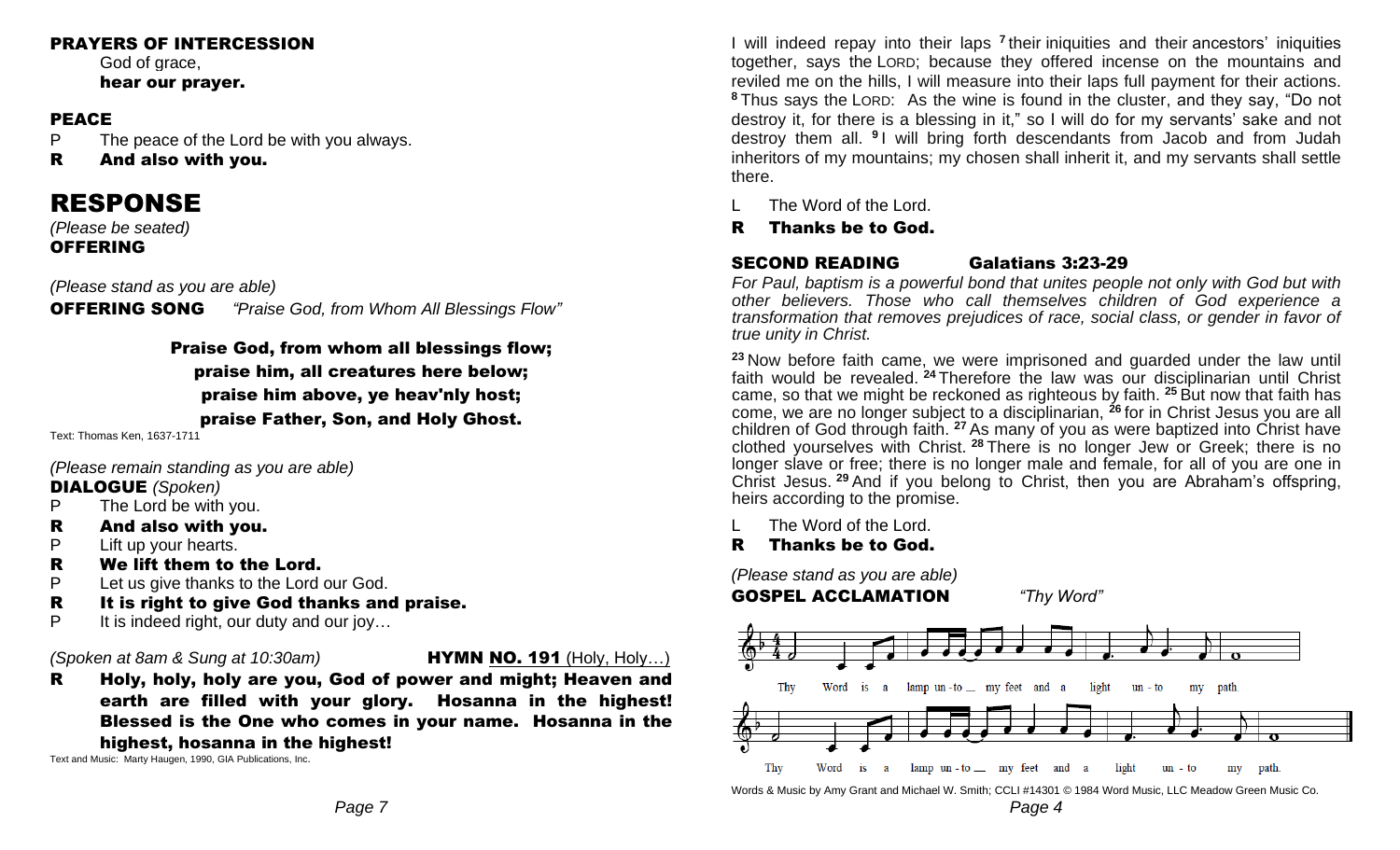#### PRAYERS OF INTERCESSION

God of grace. hear our prayer.

#### PEACE

P The peace of the Lord be with you always.

R And also with you.

# RESPONSE

*(Please be seated)*  OFFERING

*(Please stand as you are able)*  OFFERING SONG *"Praise God, from Whom All Blessings Flow"*

> Praise God, from whom all blessings flow; praise him, all creatures here below; praise him above, ye heav'nly host; praise Father, Son, and Holy Ghost.

Text: Thomas Ken, 1637-1711

*(Please remain standing as you are able)*  DIALOGUE *(Spoken)* 

- P The Lord be with you.
- R And also with you.
- P Lift up your hearts.
- R We lift them to the Lord.
- P Let us give thanks to the Lord our God.
- R It is right to give God thanks and praise.
- P It is indeed right, our duty and our joy...

*(Spoken at 8am & Sung at 10:30am)* HYMN NO. 191 (Holy, Holy…)

R Holy, holy, holy are you, God of power and might; Heaven and earth are filled with your glory. Hosanna in the highest! Blessed is the One who comes in your name. Hosanna in the highest, hosanna in the highest!

Text and Music: Marty Haugen, 1990, GIA Publications, Inc.

I will indeed repay into their laps <sup>7</sup> their iniquities and their ancestors' iniquities together, says the LORD; because they offered incense on the mountains and reviled me on the hills, I will measure into their laps full payment for their actions. **<sup>8</sup>** Thus says the LORD: As the wine is found in the cluster, and they say, "Do not destroy it, for there is a blessing in it," so I will do for my servants' sake and not destroy them all. <sup>9</sup> I will bring forth descendants from Jacob and from Judah inheritors of my mountains; my chosen shall inherit it, and my servants shall settle there.

- L The Word of the Lord.
- R Thanks be to God.

#### SECOND READING Galatians 3:23-29

*For Paul, baptism is a powerful bond that unites people not only with God but with other believers. Those who call themselves children of God experience a transformation that removes prejudices of race, social class, or gender in favor of true unity in Christ.*

**<sup>23</sup>** Now before faith came, we were imprisoned and guarded under the law until faith would be revealed. **<sup>24</sup>** Therefore the law was our disciplinarian until Christ came, so that we might be reckoned as righteous by faith. **<sup>25</sup>** But now that faith has come, we are no longer subject to a disciplinarian, **<sup>26</sup>** for in Christ Jesus you are all children of God through faith. **<sup>27</sup>** As many of you as were baptized into Christ have clothed yourselves with Christ. **<sup>28</sup>** There is no longer Jew or Greek; there is no longer slave or free; there is no longer male and female, for all of you are one in Christ Jesus. **<sup>29</sup>** And if you belong to Christ, then you are Abraham's offspring, heirs according to the promise.

The Word of the Lord.

## R Thanks be to God.

*(Please stand as you are able)*

GOSPEL ACCLAMATION *"Thy Word"* 



Words & Music by Amy Grant and Michael W. Smith; CCLI #14301 © 1984 Word Music, LLC Meadow Green Music Co. *Page 4*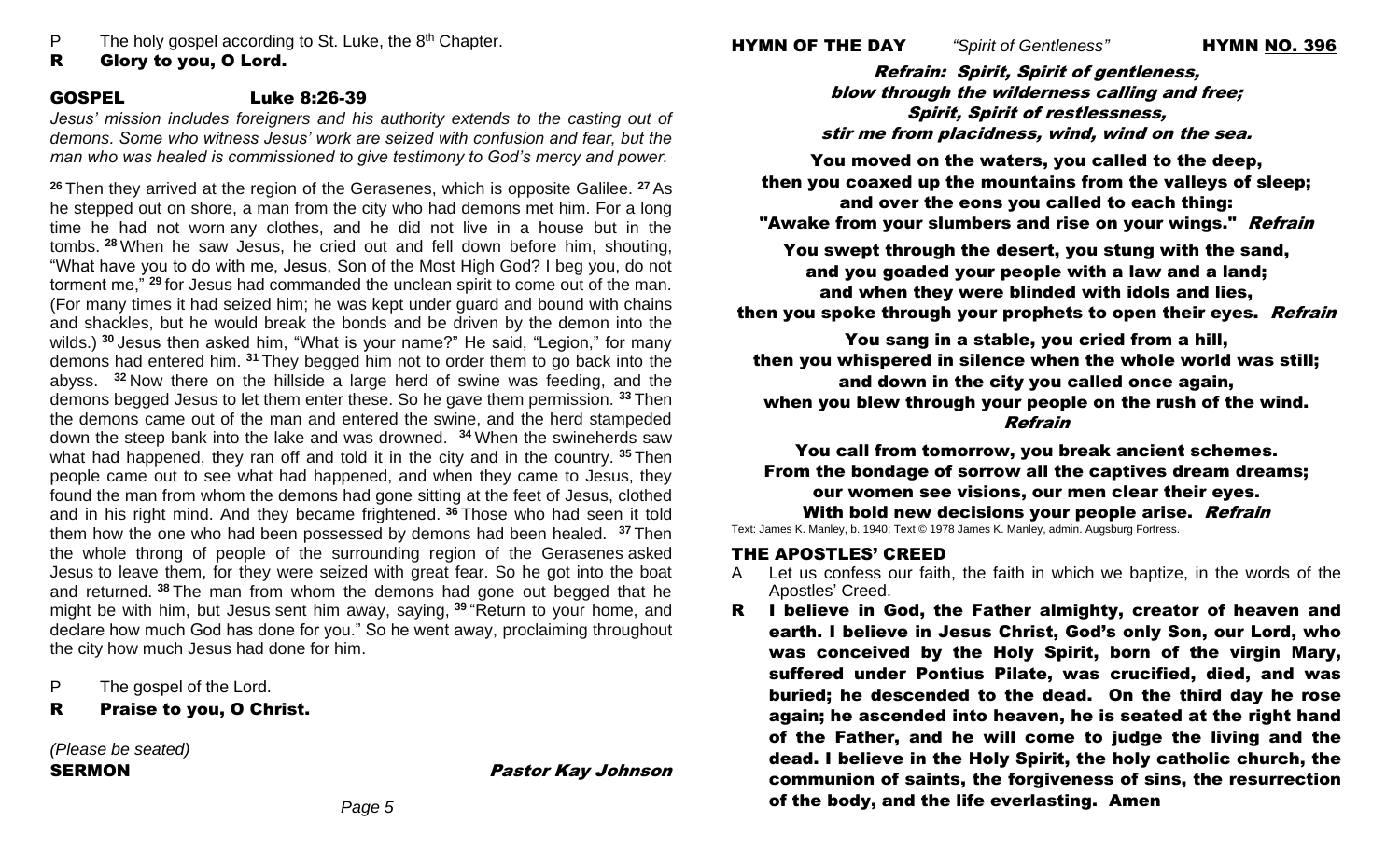- P The holy gospel according to St. Luke, the  $8<sup>th</sup>$  Chapter.
- R Glory to you, O Lord.

#### GOSPEL Luke 8:26-39

*Jesus' mission includes foreigners and his authority extends to the casting out of demons. Some who witness Jesus' work are seized with confusion and fear, but the man who was healed is commissioned to give testimony to God's mercy and power.*

**<sup>26</sup>** Then they arrived at the region of the Gerasenes, which is opposite Galilee. **<sup>27</sup>** As he stepped out on shore, a man from the city who had demons met him. For a long time he had not worn any clothes, and he did not live in a house but in the tombs. **<sup>28</sup>** When he saw Jesus, he cried out and fell down before him, shouting, "What have you to do with me, Jesus, Son of the Most High God? I beg you, do not torment me," **<sup>29</sup>** for Jesus had commanded the unclean spirit to come out of the man. (For many times it had seized him; he was kept under guard and bound with chains and shackles, but he would break the bonds and be driven by the demon into the wilds.) **<sup>30</sup>** Jesus then asked him, "What is your name?" He said, "Legion," for many demons had entered him. **<sup>31</sup>** They begged him not to order them to go back into the abyss. **<sup>32</sup>** Now there on the hillside a large herd of swine was feeding, and the demons begged Jesus to let them enter these. So he gave them permission. **<sup>33</sup>** Then the demons came out of the man and entered the swine, and the herd stampeded down the steep bank into the lake and was drowned. **<sup>34</sup>** When the swineherds saw what had happened, they ran off and told it in the city and in the country. **<sup>35</sup>** Then people came out to see what had happened, and when they came to Jesus, they found the man from whom the demons had gone sitting at the feet of Jesus, clothed and in his right mind. And they became frightened. **<sup>36</sup>** Those who had seen it told them how the one who had been possessed by demons had been healed. **<sup>37</sup>** Then the whole throng of people of the surrounding region of the Gerasenes asked Jesus to leave them, for they were seized with great fear. So he got into the boat and returned. **<sup>38</sup>** The man from whom the demons had gone out begged that he might be with him, but Jesus sent him away, saying, **<sup>39</sup>** "Return to your home, and declare how much God has done for you." So he went away, proclaiming throughout the city how much Jesus had done for him.

- P The gospel of the Lord.
- R Praise to you, O Christ.

*(Please be seated)*

SERMON **Pastor Kay Johnson** 

**HYMN OF THE DAY** *"Spirit of Gentleness"* **HYMN NO. 396** 

Refrain: Spirit, Spirit of gentleness, blow through the wilderness calling and free; Spirit, Spirit of restlessness, stir me from placidness, wind, wind on the sea.

You moved on the waters, you called to the deep, then you coaxed up the mountains from the valleys of sleep; and over the eons you called to each thing: "Awake from your slumbers and rise on your wings." Refrain

You swept through the desert, you stung with the sand, and you goaded your people with a law and a land; and when they were blinded with idols and lies, then you spoke through your prophets to open their eyes. Refrain

You sang in a stable, you cried from a hill, then you whispered in silence when the whole world was still; and down in the city you called once again, when you blew through your people on the rush of the wind. Refrain

You call from tomorrow, you break ancient schemes. From the bondage of sorrow all the captives dream dreams; our women see visions, our men clear their eyes. With bold new decisions your people arise. Refrain Text: James K. Manley, b. 1940; Text © 1978 James K. Manley, admin. Augsburg Fortress.

THE APOSTLES' CREED

- A Let us confess our faith, the faith in which we baptize, in the words of the Apostles' Creed.
- R I believe in God, the Father almighty, creator of heaven and earth. I believe in Jesus Christ, God's only Son, our Lord, who was conceived by the Holy Spirit, born of the virgin Mary, suffered under Pontius Pilate, was crucified, died, and was buried; he descended to the dead. On the third day he rose again; he ascended into heaven, he is seated at the right hand of the Father, and he will come to judge the living and the dead. I believe in the Holy Spirit, the holy catholic church, the communion of saints, the forgiveness of sins, the resurrection of the body, and the life everlasting. Amen